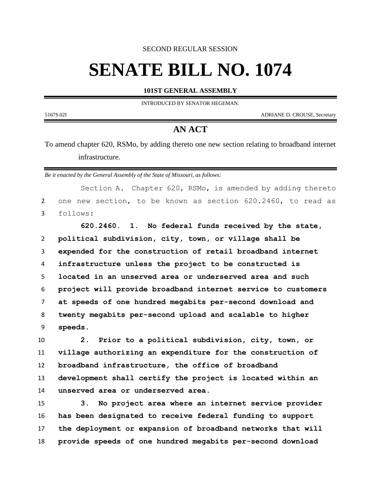SECOND REGULAR SESSION

## **SENATE BILL NO. 1074**

**101ST GENERAL ASSEMBLY**

INTRODUCED BY SENATOR HEGEMAN.

5167S.02I ADRIANE D. CROUSE, Secretary

## **AN ACT**

To amend chapter 620, RSMo, by adding thereto one new section relating to broadband internet infrastructure.

*Be it enacted by the General Assembly of the State of Missouri, as follows:*

Section A. Chapter 620, RSMo, is amended by adding thereto one new section, to be known as section 620.2460, to read as follows:

 **620.2460. 1. No federal funds received by the state, political subdivision, city, town, or village shall be expended for the construction of retail broadband internet infrastructure unless the project to be constructed is located in an unserved area or underserved area and such project will provide broadband internet service to customers at speeds of one hundred megabits per-second download and twenty megabits per-second upload and scalable to higher speeds.**

 **2. Prior to a political subdivision, city, town, or village authorizing an expenditure for the construction of broadband infrastructure, the office of broadband development shall certify the project is located within an unserved area or underserved area.**

 **3. No project area where an internet service provider has been designated to receive federal funding to support the deployment or expansion of broadband networks that will provide speeds of one hundred megabits per-second download**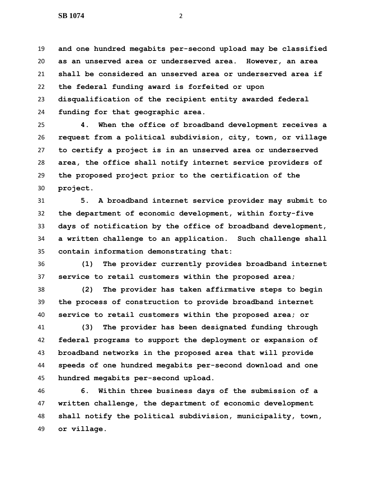**and one hundred megabits per-second upload may be classified as an unserved area or underserved area. However, an area shall be considered an unserved area or underserved area if the federal funding award is forfeited or upon disqualification of the recipient entity awarded federal funding for that geographic area.**

 **4. When the office of broadband development receives a request from a political subdivision, city, town, or village to certify a project is in an unserved area or underserved area, the office shall notify internet service providers of the proposed project prior to the certification of the project.**

 **5. A broadband internet service provider may submit to the department of economic development, within forty-five days of notification by the office of broadband development, a written challenge to an application. Such challenge shall contain information demonstrating that:**

 **(1) The provider currently provides broadband internet service to retail customers within the proposed area;**

 **(2) The provider has taken affirmative steps to begin the process of construction to provide broadband internet service to retail customers within the proposed area; or**

 **(3) The provider has been designated funding through federal programs to support the deployment or expansion of broadband networks in the proposed area that will provide speeds of one hundred megabits per-second download and one hundred megabits per-second upload.**

 **6. Within three business days of the submission of a written challenge, the department of economic development shall notify the political subdivision, municipality, town, or village.**